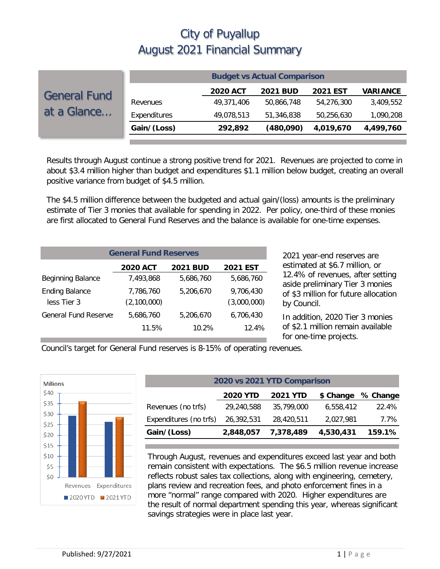|                     | <b>Budget vs Actual Comparison</b> |                 |                 |                 |                 |  |
|---------------------|------------------------------------|-----------------|-----------------|-----------------|-----------------|--|
| <b>General Fund</b> |                                    | <b>2020 ACT</b> | <b>2021 BUD</b> | <b>2021 EST</b> | <b>VARIANCE</b> |  |
|                     | Revenues                           | 49,371,406      | 50.866.748      | 54,276,300      | 3,409,552       |  |
| at a Glance         | Expenditures                       | 49,078,513      | 51,346,838      | 50,256,630      | 1,090,208       |  |
|                     | Gain/(Loss)                        | 292,892         | (480,090)       | 4,019,670       | 4,499,760       |  |
|                     |                                    |                 |                 |                 |                 |  |

Results through August continue a strong positive trend for 2021. Revenues are projected to come in about \$3.4 million higher than budget and expenditures \$1.1 million below budget, creating an overall positive variance from budget of \$4.5 million.

The \$4.5 million difference between the budgeted and actual gain/(loss) amounts is the preliminary estimate of Tier 3 monies that available for spending in 2022. Per policy, one-third of these monies are first allocated to General Fund Reserves and the balance is available for one-time expenses.

| <b>General Fund Reserves</b>                          |                          |           |                          |  |  |  |  |  |
|-------------------------------------------------------|--------------------------|-----------|--------------------------|--|--|--|--|--|
| <b>2020 ACT</b><br><b>2021 EST</b><br><b>2021 BUD</b> |                          |           |                          |  |  |  |  |  |
| <b>Beginning Balance</b>                              | 7.493.868                | 5,686,760 | 5,686,760                |  |  |  |  |  |
| <b>Ending Balance</b><br>less Tier 3                  | 7,786,760<br>(2,100,000) | 5,206,670 | 9,706,430<br>(3,000,000) |  |  |  |  |  |
| <b>General Fund Reserve:</b>                          | 5,686,760                | 5,206,670 | 6,706,430                |  |  |  |  |  |
|                                                       | 11.5%                    | 10.2%     | 12.4%                    |  |  |  |  |  |

2021 year-end reserves are estimated at \$6.7 million, or 12.4% of revenues, after setting aside preliminary Tier 3 monies of \$3 million for future allocation by Council.

In addition, 2020 Tier 3 monies of \$2.1 million remain available for one-time projects.

Council's target for General Fund reserves is 8-15% of operating revenues.



| 2020 vs 2021 YTD Comparison |                 |                 |           |          |  |  |  |  |
|-----------------------------|-----------------|-----------------|-----------|----------|--|--|--|--|
|                             | <b>2020 YTD</b> | <b>2021 YTD</b> | \$ Change | % Change |  |  |  |  |
| Revenues (no trfs)          | 29,240,588      | 35,799,000      | 6,558,412 | 22.4%    |  |  |  |  |
| Expenditures (no trfs)      | 26,392,531      | 28,420,511      | 2,027,981 | 7.7%     |  |  |  |  |
| Gain/(Loss)                 | 2,848,057       | 7,378,489       | 4,530,431 | 159.1%   |  |  |  |  |

Through August, revenues and expenditures exceed last year and both remain consistent with expectations. The \$6.5 million revenue increase reflects robust sales tax collections, along with engineering, cemetery, plans review and recreation fees, and photo enforcement fines in a more "normal" range compared with 2020. Higher expenditures are the result of normal department spending this year, whereas significant savings strategies were in place last year.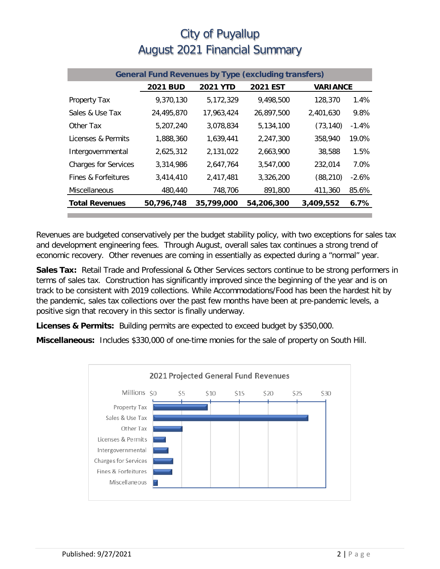| <b>General Fund Revenues by Type (excluding transfers)</b> |                 |                 |                 |                 |         |  |
|------------------------------------------------------------|-----------------|-----------------|-----------------|-----------------|---------|--|
|                                                            | <b>2021 BUD</b> | <b>2021 YTD</b> | <b>2021 EST</b> | <b>VARIANCE</b> |         |  |
| Property Tax                                               | 9,370,130       | 5,172,329       | 9.498.500       | 128,370         | 1.4%    |  |
| Sales & Use Tax                                            | 24,495,870      | 17,963,424      | 26,897,500      | 2,401,630       | 9.8%    |  |
| Other Tax                                                  | 5,207,240       | 3,078,834       | 5,134,100       | (73, 140)       | $-1.4%$ |  |
| Licenses & Permits                                         | 1,888,360       | 1,639,441       | 2.247.300       | 358,940         | 19.0%   |  |
| Intergovernmental                                          | 2,625,312       | 2,131,022       | 2,663,900       | 38,588          | 1.5%    |  |
| <b>Charges for Services</b>                                | 3,314,986       | 2.647.764       | 3.547.000       | 232,014         | 7.0%    |  |
| Fines & Forfeitures                                        | 3,414,410       | 2,417,481       | 3,326,200       | (88, 210)       | $-2.6%$ |  |
| Miscellaneous                                              | 480,440         | 748,706         | 891,800         | 411,360         | 85.6%   |  |
| <b>Total Revenues</b>                                      | 50,796,748      | 35,799,000      | 54,206,300      | 3,409,552       | 6.7%    |  |

Revenues are budgeted conservatively per the budget stability policy, with two exceptions for sales tax and development engineering fees. Through August, overall sales tax continues a strong trend of economic recovery. Other revenues are coming in essentially as expected during a "normal" year.

**Sales Tax:** Retail Trade and Professional & Other Services sectors continue to be strong performers in terms of sales tax. Construction has significantly improved since the beginning of the year and is on track to be consistent with 2019 collections. While Accommodations/Food has been the hardest hit by the pandemic, sales tax collections over the past few months have been at pre-pandemic levels, a positive sign that recovery in this sector is finally underway.

**Licenses & Permits:** Building permits are expected to exceed budget by \$350,000.

**Miscellaneous:** Includes \$330,000 of one-time monies for the sale of property on South Hill.

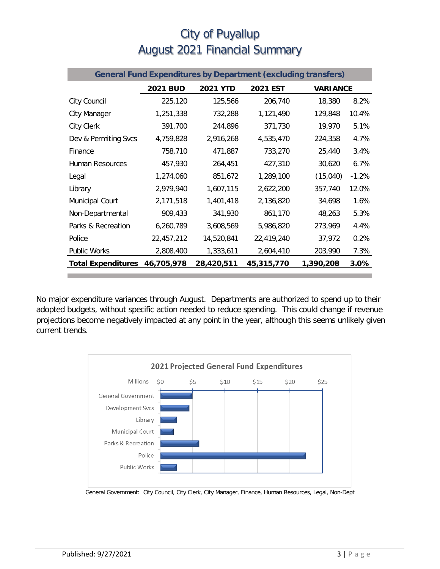| <b>General Fund Expenditures by Department (excluding transfers)</b> |                 |                 |                 |                 |         |  |
|----------------------------------------------------------------------|-----------------|-----------------|-----------------|-----------------|---------|--|
|                                                                      | <b>2021 BUD</b> | <b>2021 YTD</b> | <b>2021 EST</b> | <b>VARIANCE</b> |         |  |
| City Council                                                         | 225,120         | 125,566         | 206,740         | 18,380          | 8.2%    |  |
| City Manager                                                         | 1,251,338       | 732,288         | 1,121,490       | 129,848         | 10.4%   |  |
| City Clerk                                                           | 391,700         | 244,896         | 371,730         | 19,970          | 5.1%    |  |
| Dev & Permiting Svcs                                                 | 4,759,828       | 2,916,268       | 4,535,470       | 224,358         | 4.7%    |  |
| Finance                                                              | 758,710         | 471,887         | 733,270         | 25,440          | 3.4%    |  |
| Human Resources                                                      | 457,930         | 264,451         | 427,310         | 30,620          | 6.7%    |  |
| Legal                                                                | 1,274,060       | 851,672         | 1,289,100       | (15,040)        | $-1.2%$ |  |
| Library                                                              | 2,979,940       | 1,607,115       | 2,622,200       | 357,740         | 12.0%   |  |
| Municipal Court                                                      | 2,171,518       | 1,401,418       | 2,136,820       | 34,698          | 1.6%    |  |
| Non-Departmental                                                     | 909,433         | 341,930         | 861,170         | 48,263          | 5.3%    |  |
| Parks & Recreation                                                   | 6,260,789       | 3,608,569       | 5,986,820       | 273,969         | 4.4%    |  |
| Police                                                               | 22,457,212      | 14,520,841      | 22,419,240      | 37,972          | 0.2%    |  |
| Public Works                                                         | 2,808,400       | 1,333,611       | 2,604,410       | 203,990         | 7.3%    |  |
| <b>Total Expenditures</b>                                            | 46,705,978      | 28,420,511      | 45,315,770      | 1,390,208       | $3.0\%$ |  |

No major expenditure variances through August. Departments are authorized to spend up to their adopted budgets, without specific action needed to reduce spending. This could change if revenue projections become negatively impacted at any point in the year, although this seems unlikely given current trends.



General Government: City Council, City Clerk, City Manager, Finance, Human Resources, Legal, Non-Dept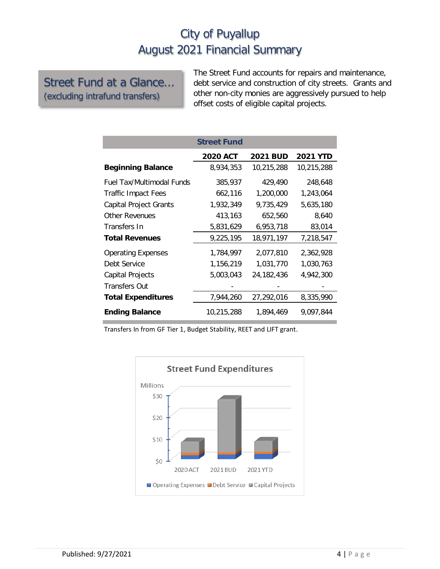#### Street Fund at a Glance… (excluding intrafund transfers)

The Street Fund accounts for repairs and maintenance, debt service and construction of city streets. Grants and other non-city monies are aggressively pursued to help offset costs of eligible capital projects.

|                                  | <b>Street Fund</b> |                 |                 |
|----------------------------------|--------------------|-----------------|-----------------|
|                                  | <b>2020 ACT</b>    | <b>2021 BUD</b> | <b>2021 YTD</b> |
| <b>Beginning Balance</b>         | 8,934,353          | 10,215,288      | 10,215,288      |
| <b>Fuel Tax/Multimodal Funds</b> | 385,937            | 429,490         | 248,648         |
| <b>Traffic Impact Fees</b>       | 662,116            | 1,200,000       | 1,243,064       |
| Capital Project Grants           | 1,932,349          | 9,735,429       | 5,635,180       |
| Other Revenues                   | 413,163            | 652,560         | 8,640           |
| Transfers In                     | 5,831,629          | 6,953,718       | 83,014          |
| <b>Total Revenues</b>            | 9,225,195          | 18,971,197      | 7,218,547       |
| <b>Operating Expenses</b>        | 1,784,997          | 2,077,810       | 2,362,928       |
| Debt Service                     | 1,156,219          | 1,031,770       | 1,030,763       |
| Capital Projects                 | 5,003,043          | 24, 182, 436    | 4,942,300       |
| <b>Transfers Out</b>             |                    |                 |                 |
| <b>Total Expenditures</b>        | 7,944,260          | 27,292,016      | 8,335,990       |
| <b>Ending Balance</b>            | 10,215,288         | 1,894,469       | 9,097,844       |

Transfers In from GF Tier 1, Budget Stability, REET and LIFT grant.

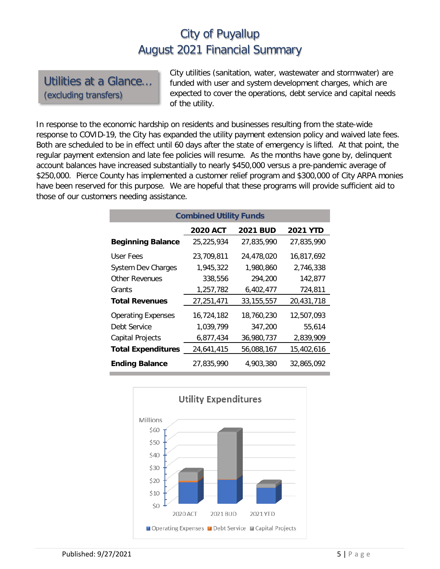#### Utilities at a Glance… (excluding transfers)

City utilities (sanitation, water, wastewater and stormwater) are funded with user and system development charges, which are expected to cover the operations, debt service and capital needs of the utility.

In response to the economic hardship on residents and businesses resulting from the state-wide response to COVID-19, the City has expanded the utility payment extension policy and waived late fees. Both are scheduled to be in effect until 60 days after the state of emergency is lifted. At that point, the regular payment extension and late fee policies will resume. As the months have gone by, delinquent account balances have increased substantially to nearly \$450,000 versus a pre-pandemic average of \$250,000. Pierce County has implemented a customer relief program and \$300,000 of City ARPA monies have been reserved for this purpose. We are hopeful that these programs will provide sufficient aid to those of our customers needing assistance.

| <b>Combined Utility Funds</b> |                 |                 |                 |  |  |  |  |
|-------------------------------|-----------------|-----------------|-----------------|--|--|--|--|
|                               | <b>2020 ACT</b> | <b>2021 BUD</b> | <b>2021 YTD</b> |  |  |  |  |
| <b>Beginning Balance</b>      | 25,225,934      | 27.835.990      | 27,835,990      |  |  |  |  |
| User Fees                     | 23,709,811      | 24,478,020      | 16,817,692      |  |  |  |  |
| <b>System Dev Charges</b>     | 1,945,322       | 1,980,860       | 2.746.338       |  |  |  |  |
| Other Revenues                | 338,556         | 294,200         | 142,877         |  |  |  |  |
| Grants                        | 1,257,782       | 6,402,477       | 724,811         |  |  |  |  |
| <b>Total Revenues</b>         | 27,251,471      | 33, 155, 557    | 20,431,718      |  |  |  |  |
| <b>Operating Expenses</b>     | 16,724,182      | 18,760,230      | 12,507,093      |  |  |  |  |
| Debt Service                  | 1,039,799       | 347,200         | 55,614          |  |  |  |  |
| <b>Capital Projects</b>       | 6,877,434       | 36,980,737      | 2,839,909       |  |  |  |  |
| <b>Total Expenditures</b>     | 24,641,415      | 56,088,167      | 15,402,616      |  |  |  |  |
| <b>Ending Balance</b>         | 27,835,990      | 4.903.380       | 32.865.092      |  |  |  |  |

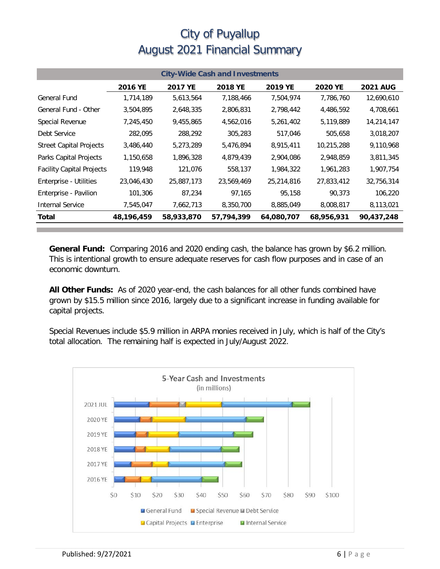| <b>City-Wide Cash and Investments</b> |            |            |                |            |                |                 |  |
|---------------------------------------|------------|------------|----------------|------------|----------------|-----------------|--|
|                                       | 2016 YE    | 2017 YE    | <b>2018 YE</b> | 2019 YE    | <b>2020 YE</b> | <b>2021 AUG</b> |  |
| General Fund                          | 1,714,189  | 5,613,564  | 7,188,466      | 7,504,974  | 7,786,760      | 12,690,610      |  |
| General Fund - Other                  | 3,504,895  | 2,648,335  | 2,806,831      | 2,798,442  | 4,486,592      | 4,708,661       |  |
| Special Revenue                       | 7,245,450  | 9,455,865  | 4,562,016      | 5,261,402  | 5,119,889      | 14,214,147      |  |
| Debt Service                          | 282,095    | 288,292    | 305,283        | 517,046    | 505,658        | 3,018,207       |  |
| <b>Street Capital Projects</b>        | 3,486,440  | 5,273,289  | 5,476,894      | 8,915,411  | 10,215,288     | 9,110,968       |  |
| Parks Capital Projects                | 1,150,658  | 1,896,328  | 4,879,439      | 2,904,086  | 2,948,859      | 3,811,345       |  |
| <b>Facility Capital Projects</b>      | 119,948    | 121,076    | 558,137        | 1,984,322  | 1,961,283      | 1,907,754       |  |
| <b>Enterprise - Utilities</b>         | 23,046,430 | 25,887,173 | 23,569,469     | 25,214,816 | 27,833,412     | 32,756,314      |  |
| Enterprise - Pavilion                 | 101,306    | 87,234     | 97,165         | 95,158     | 90,373         | 106,220         |  |
| <b>Internal Service</b>               | 7,545,047  | 7,662,713  | 8,350,700      | 8,885,049  | 8,008,817      | 8,113,021       |  |
| Total                                 | 48,196,459 | 58,933,870 | 57,794,399     | 64,080,707 | 68,956,931     | 90,437,248      |  |

**General Fund:** Comparing 2016 and 2020 ending cash, the balance has grown by \$6.2 million. This is intentional growth to ensure adequate reserves for cash flow purposes and in case of an economic downturn.

**All Other Funds:** As of 2020 year-end, the cash balances for all other funds combined have grown by \$15.5 million since 2016, largely due to a significant increase in funding available for capital projects.

Special Revenues include \$5.9 million in ARPA monies received in July, which is half of the City's total allocation. The remaining half is expected in July/August 2022.